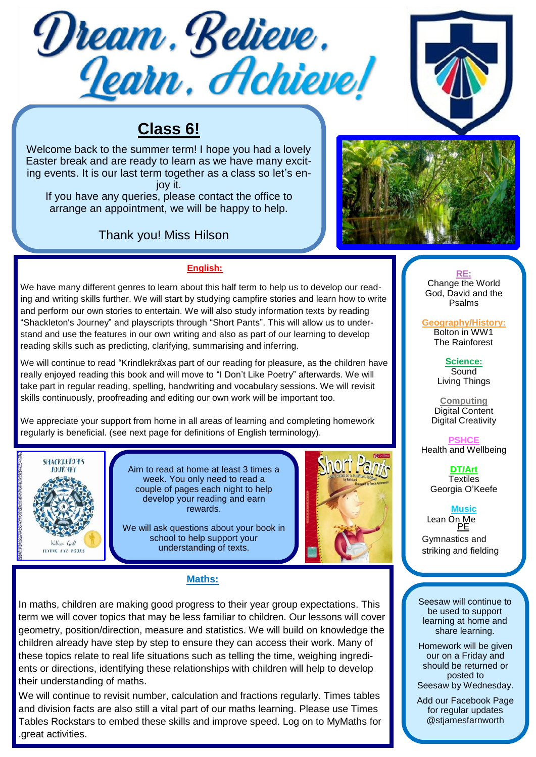



# **Class 6!**

Welcome back to the summer term! I hope you had a lovely Easter break and are ready to learn as we have many exciting events. It is our last term together as a class so let's enjoy it.

If you have any queries, please contact the office to arrange an appointment, we will be happy to help.

## Thank you! Miss Hilson



### **English:**

We have many different genres to learn about this half term to help us to develop our reading and writing skills further. We will start by studying campfire stories and learn how to write and perform our own stories to entertain. We will also study information texts by reading "Shackleton's Journey" and playscripts through "Short Pants". This will allow us to understand and use the features in our own writing and also as part of our learning to develop reading skills such as predicting, clarifying, summarising and inferring.

We will continue to read "Krindlekräxas part of our reading for pleasure, as the children have really enjoyed reading this book and will move to "I Don't Like Poetry" afterwards. We will take part in regular reading, spelling, handwriting and vocabulary sessions. We will revisit skills continuously, proofreading and editing our own work will be important too.

We appreciate your support from home in all areas of learning and completing homework regularly is beneficial. (see next page for definitions of English terminology).



Aim to read at home at least 3 times a week. You only need to read a couple of pages each night to help develop your reading and earn rewards.

We will ask questions about your book in school to help support your understanding of texts.



### **Maths:**

In maths, children are making good progress to their year group expectations. This term we will cover topics that may be less familiar to children. Our lessons will cover geometry, position/direction, measure and statistics. We will build on knowledge the children already have step by step to ensure they can access their work. Many of these topics relate to real life situations such as telling the time, weighing ingredients or directions, identifying these relationships with children will help to develop their understanding of maths.

We will continue to revisit number, calculation and fractions regularly. Times tables and division facts are also still a vital part of our maths learning. Please use Times Tables Rockstars to embed these skills and improve speed. Log on to MyMaths for .great activities.

**RE:** Change the World God, David and the Psalms

**Geography/History:** Bolton in WW1 The Rainforest

> **Science: Sound** Living Things

**Computing** Digital Content Digital Creativity

**PSHCE** Health and Wellbeing

> **DT/Art Textiles** Georgia O'Keefe

### **Music**

Lean On Me PE

Gymnastics and striking and fielding

Seesaw will continue to be used to support learning at home and share learning.

Homework will be given our on a Friday and should be returned or posted to Seesaw by Wednesday.

Add our Facebook Page for regular updates @stjamesfarnworth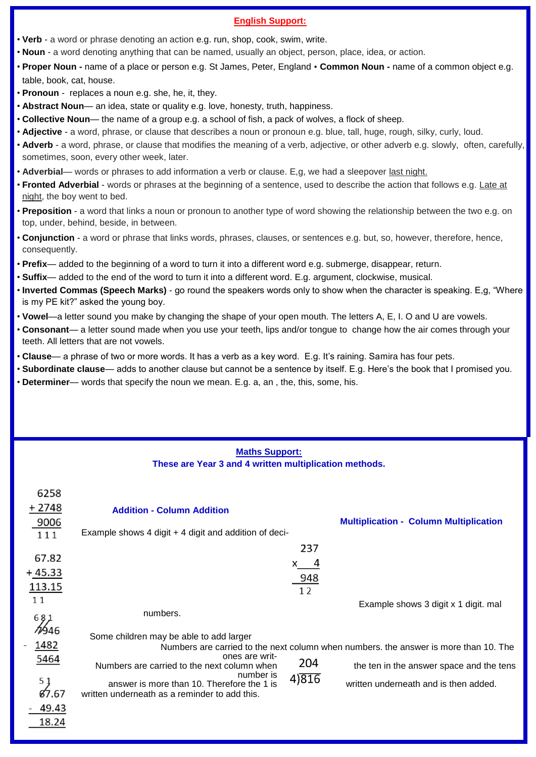#### **English Support:**

- **Verb** a word or phrase denoting an action e.g. run, shop, cook, swim, write.
- **Noun** a word denoting anything that can be named, usually an object, person, place, idea, or action.
- **Proper Noun -** name of a place or person e.g. St James, Peter, England **Common Noun -** name of a common object e.g. table, book, cat, house.
- **Pronoun** replaces a noun e.g. she, he, it, they.
- **Abstract Noun** an idea, state or quality e.g. love, honesty, truth, happiness.
- **Collective Noun** the name of a group e.g. a school of fish, a pack of wolves, a flock of sheep.
- **Adjective** a word, phrase, or clause that describes a noun or pronoun e.g. blue, tall, huge, rough, silky, curly, loud.
- **Adverb**  a word, phrase, or clause that modifies the meaning of a verb, adjective, or other adverb e.g. slowly, often, carefully, sometimes, soon, every other week, later.
- **Adverbial** words or phrases to add information a verb or clause. E,g, we had a sleepover last night.
- **Fronted Adverbial**  words or phrases at the beginning of a sentence, used to describe the action that follows e.g. Late at night, the boy went to bed.
- **Preposition**  a word that links a noun or pronoun to another type of word showing the relationship between the two e.g. on top, under, behind, beside, in between.
- **Conjunction** a word or phrase that links words, phrases, clauses, or sentences e.g. but, so, however, therefore, hence, consequently.
- **Prefix** added to the beginning of a word to turn it into a different word e.g. submerge, disappear, return.
- **Suffix** added to the end of the word to turn it into a different word. E.g. argument, clockwise, musical.
- **Inverted Commas (Speech Marks)**  go round the speakers words only to show when the character is speaking. E,g, "Where is my PE kit?" asked the young boy.
- **Vowel**—a letter sound you make by changing the shape of your open mouth. The letters A, E, I. O and U are vowels.
- **Consonant** a letter sound made when you use your teeth, lips and/or tongue to change how the air comes through your teeth. All letters that are not vowels.
- **Clause** a phrase of two or more words. It has a verb as a key word. E.g. It's raining. Samira has four pets.
- **Subordinate clause** adds to another clause but cannot be a sentence by itself. E.g. Here's the book that I promised you.
- **Determiner** words that specify the noun we mean. E.g. a, an , the, this, some, his.

### **Maths Support: These are Year 3 and 4 written multiplication methods.**

| 6258<br>+ 2748<br>9006<br>111                                            | <b>Addition - Column Addition</b><br>Example shows 4 digit + 4 digit and addition of deci-                                                                                                                           |                         | <b>Multiplication - Column Multiplication</b>                                                                                                                             |
|--------------------------------------------------------------------------|----------------------------------------------------------------------------------------------------------------------------------------------------------------------------------------------------------------------|-------------------------|---------------------------------------------------------------------------------------------------------------------------------------------------------------------------|
| 67.82<br>$+45.33$<br>113.15<br>11<br>587                                 | numbers.                                                                                                                                                                                                             | 237<br>x 4<br>948<br>12 | Example shows 3 digit x 1 digit. mal                                                                                                                                      |
| 7946<br>1482<br>5464<br>5 <sub>1</sub><br><b>87.67</b><br>49.43<br>18.24 | Some children may be able to add larger<br>ones are writ-<br>Numbers are carried to the next column when<br>number is<br>answer is more than 10. Therefore the 1 is<br>written underneath as a reminder to add this. | 204<br>4)316            | Numbers are carried to the next column when numbers, the answer is more than 10. The<br>the ten in the answer space and the tens<br>written underneath and is then added. |